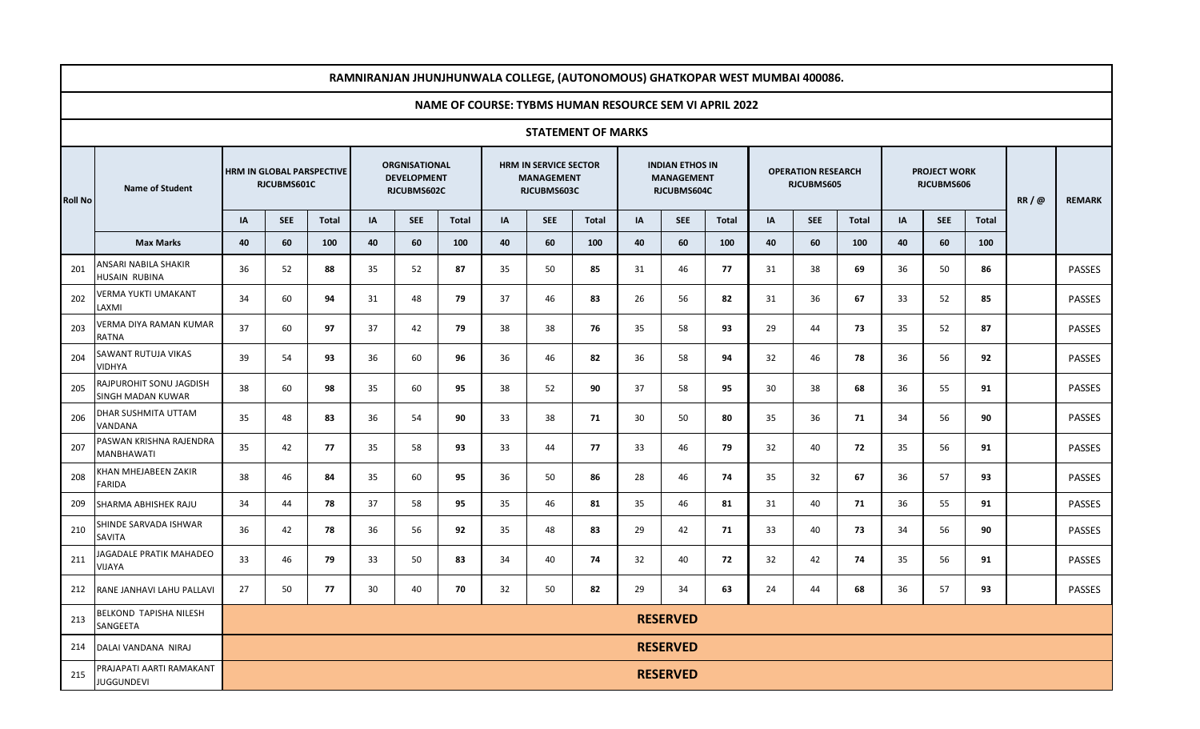| RAMNIRANJAN JHUNJHUNWALA COLLEGE, (AUTONOMOUS) GHATKOPAR WEST MUMBAI 400086. |                                               |                                          |            |              |                                                           |            |              |                                                           |            |              |                                                            |                 |              |                                         |            |              |                                   |            |              |      |               |
|------------------------------------------------------------------------------|-----------------------------------------------|------------------------------------------|------------|--------------|-----------------------------------------------------------|------------|--------------|-----------------------------------------------------------|------------|--------------|------------------------------------------------------------|-----------------|--------------|-----------------------------------------|------------|--------------|-----------------------------------|------------|--------------|------|---------------|
| NAME OF COURSE: TYBMS HUMAN RESOURCE SEM VI APRIL 2022                       |                                               |                                          |            |              |                                                           |            |              |                                                           |            |              |                                                            |                 |              |                                         |            |              |                                   |            |              |      |               |
| <b>STATEMENT OF MARKS</b>                                                    |                                               |                                          |            |              |                                                           |            |              |                                                           |            |              |                                                            |                 |              |                                         |            |              |                                   |            |              |      |               |
| <b>Roll No</b>                                                               | <b>Name of Student</b>                        | HRM IN GLOBAL PARSPECTIVE<br>RJCUBMS601C |            |              | <b>ORGNISATIONAL</b><br><b>DEVELOPMENT</b><br>RJCUBMS602C |            |              | HRM IN SERVICE SECTOR<br><b>MANAGEMENT</b><br>RJCUBMS603C |            |              | <b>INDIAN ETHOS IN</b><br><b>MANAGEMENT</b><br>RJCUBMS604C |                 |              | <b>OPERATION RESEARCH</b><br>RJCUBMS605 |            |              | <b>PROJECT WORK</b><br>RJCUBMS606 |            |              | RR/@ | <b>REMARK</b> |
|                                                                              |                                               | IA                                       | <b>SEE</b> | <b>Total</b> | IA                                                        | <b>SEE</b> | <b>Total</b> | IA                                                        | <b>SEE</b> | <b>Total</b> | IA                                                         | <b>SEE</b>      | <b>Total</b> | IA                                      | <b>SEE</b> | <b>Total</b> | IA                                | <b>SEE</b> | <b>Total</b> |      |               |
|                                                                              | <b>Max Marks</b>                              | 40                                       | 60         | 100          | 40                                                        | 60         | 100          | 40                                                        | 60         | 100          | 40                                                         | 60              | 100          | 40                                      | 60         | 100          | 40                                | 60         | 100          |      |               |
| 201                                                                          | ANSARI NABILA SHAKIR<br>HUSAIN RUBINA         | 36                                       | 52         | 88           | 35                                                        | 52         | 87           | 35                                                        | 50         | 85           | 31                                                         | 46              | 77           | 31                                      | 38         | 69           | 36                                | 50         | 86           |      | <b>PASSES</b> |
| 202                                                                          | <b>JERMA YUKTI UMAKANT</b><br>LAXMI           | 34                                       | 60         | 94           | 31                                                        | 48         | 79           | 37                                                        | 46         | 83           | 26                                                         | 56              | 82           | 31                                      | 36         | 67           | 33                                | 52         | 85           |      | PASSES        |
| 203                                                                          | /ERMA DIYA RAMAN KUMAR<br>RATNA               | 37                                       | 60         | 97           | 37                                                        | 42         | 79           | 38                                                        | 38         | 76           | 35                                                         | 58              | 93           | 29                                      | 44         | 73           | 35                                | 52         | 87           |      | <b>PASSES</b> |
| 204                                                                          | SAWANT RUTUJA VIKAS<br>VIDHYA                 | 39                                       | 54         | 93           | 36                                                        | 60         | 96           | 36                                                        | 46         | 82           | 36                                                         | 58              | 94           | 32                                      | 46         | 78           | 36                                | 56         | 92           |      | <b>PASSES</b> |
| 205                                                                          | RAJPUROHIT SONU JAGDISH<br>SINGH MADAN KUWAR  | 38                                       | 60         | 98           | 35                                                        | 60         | 95           | 38                                                        | 52         | 90           | 37                                                         | 58              | 95           | 30                                      | 38         | 68           | 36                                | 55         | 91           |      | <b>PASSES</b> |
| 206                                                                          | DHAR SUSHMITA UTTAM<br>VANDANA                | 35                                       | 48         | 83           | 36                                                        | 54         | 90           | 33                                                        | 38         | 71           | 30                                                         | 50              | 80           | 35                                      | 36         | 71           | 34                                | 56         | 90           |      | <b>PASSES</b> |
| 207                                                                          | PASWAN KRISHNA RAJENDRA<br>MANBHAWATI         | 35                                       | 42         | 77           | 35                                                        | 58         | 93           | 33                                                        | 44         | 77           | 33                                                         | 46              | 79           | 32                                      | 40         | 72           | 35                                | 56         | 91           |      | <b>PASSES</b> |
| 208                                                                          | (HAN MHEJABEEN ZAKIR<br><b>FARIDA</b>         | 38                                       | 46         | 84           | 35                                                        | 60         | 95           | 36                                                        | 50         | 86           | 28                                                         | 46              | 74           | 35                                      | 32         | 67           | 36                                | 57         | 93           |      | <b>PASSES</b> |
| 209                                                                          | SHARMA ABHISHEK RAJU                          | 34                                       | 44         | 78           | 37                                                        | 58         | 95           | 35                                                        | 46         | 81           | 35                                                         | 46              | 81           | 31                                      | 40         | 71           | 36                                | 55         | 91           |      | PASSES        |
| 210                                                                          | SHINDE SARVADA ISHWAR<br>SAVITA               | 36                                       | 42         | 78           | 36                                                        | 56         | 92           | 35                                                        | 48         | 83           | 29                                                         | 42              | 71           | 33                                      | 40         | 73           | 34                                | 56         | 90           |      | <b>PASSES</b> |
| 211                                                                          | AGADALE PRATIK MAHADEO<br>VIJAYA              | 33                                       | 46         | 79           | 33                                                        | 50         | 83           | 34                                                        | 40         | 74           | 32                                                         | 40              | 72           | 32                                      | 42         | 74           | 35                                | 56         | 91           |      | <b>PASSES</b> |
| 212                                                                          | RANE JANHAVI LAHU PALLAVI                     | 27                                       | 50         | 77           | 30                                                        | 40         | 70           | 32                                                        | 50         | 82           | 29                                                         | 34              | 63           | 24                                      | 44         | 68           | 36                                | 57         | 93           |      | <b>PASSES</b> |
| 213                                                                          | BELKOND TAPISHA NILESH<br>SANGEETA            |                                          |            |              |                                                           |            |              |                                                           |            |              |                                                            | <b>RESERVED</b> |              |                                         |            |              |                                   |            |              |      |               |
| 214                                                                          | DALAI VANDANA NIRAJ                           |                                          |            |              |                                                           |            |              |                                                           |            |              |                                                            | <b>RESERVED</b> |              |                                         |            |              |                                   |            |              |      |               |
| 215                                                                          | PRAJAPATI AARTI RAMAKANT<br><b>JUGGUNDEVI</b> |                                          |            |              |                                                           |            |              |                                                           |            |              |                                                            | <b>RESERVED</b> |              |                                         |            |              |                                   |            |              |      |               |